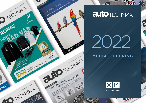

# **auto** TECHNIKA

 $\mathbf{v}$ 

 $\circledcirc$ 

Ĉ



## **MEDIA** OFFERING



W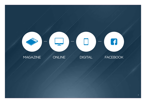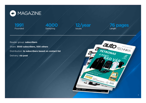

**1991** Founded





**76 pages** Length

Reader group: **subscribers** Share: **3500 subscribers, 500 others** Distribution: **to subscribers based on contact list** Delivery: **via post**

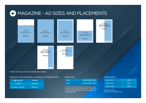

Please contact us for more details about bleeds.

### PRODUCT INFORMATION, COMPANY INTRODUCTION

| Page size A4        | In color        |  |
|---------------------|-----------------|--|
| $1/1$ oldal         | <b>600 Euro</b> |  |
| 1/2 page horizontal | <b>400 Euro</b> |  |

### POSITION

| Cover | extra charge: 30% |
|-------|-------------------|
| Verso | extra charge: 15% |
|       |                   |

The Cover and the Verso build a significant part in the print's layout design therefore any advertisment creative to be placed there shall be consulted with the editorial staff.

### **DISCOUNTS**

| 3 ads / year  | $-10%$ |
|---------------|--------|
| 6 ads / year  | $-15%$ |
| 12 ads / year | $-20%$ |

Agency fee: 15%. Max discount available: 30%.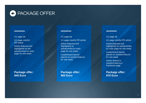

### 1/1 page ad

1/1 page colorful **PR** article

Article featured and highlighted on the autotechnika.hu main page for one week

**Package offer: 840 Euro**

### 1/1 page ad 1/1 page colorful PR article Article featured and highlighted on autotechnika.hu main page for one week.

Leaderboard banner placed on autotechnika.hu for one week.

**Package offer: 900 Euro**

### 1/1 page ad

1/1 page colorful PR article Article featured and highlighted on autotechnika. hu main page for one week.

Leaderboard banner placed on autotechnika.hu for one week.

Article shared in Autotechnika.hu's Facebook page

**Package offer: 970 Euro**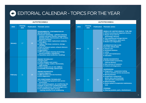# EDITORIAL CALENDAR - TOPICS FOR THE YEAR

### **AUTOTECHNIKA**

| 2022            | <b>Closing</b><br>date | <b>Publication</b> | <b>Thematic annex</b>                                                                                                                                                                                                                                                                                                                                                                                                                                                                                                                                          | 2021         | <b>Closing</b><br>date | Pub |
|-----------------|------------------------|--------------------|----------------------------------------------------------------------------------------------------------------------------------------------------------------------------------------------------------------------------------------------------------------------------------------------------------------------------------------------------------------------------------------------------------------------------------------------------------------------------------------------------------------------------------------------------------------|--------------|------------------------|-----|
| <b>January</b>  | 17                     | 28                 | <b>ENVIRONMENTAL CONTAMINATION BY</b><br><b>MOTOR VEHICLES</b><br>Emission technology - pollution-reducing<br>systems and parts therefor, transponders<br>(lambda probes, thermometers, NO <sub>v</sub> probes,<br>pressure sensors),<br>EGR valves, tubes, replacement catalysts,<br>soot filters,<br>AdBlue, PSA Eolys commerce, storage,<br>refuelling<br>Parts of exhaust system, exhaust silencers<br>Gas analysers,<br>Opacimeters<br>DPF and catalyst cleaning (technology,<br>service providers, substances)<br>Hazardous waste (collection, handling) | <b>March</b> | 11                     |     |
|                 |                        |                    | <b>ENGINE TECHNOLOGY</b><br><b>Engine parts</b><br>■ Turbo chargers and coolers<br>Engine cooling, coolers, thermostats,<br>water pumps<br>Filters (engine oil, air, fuel, AdBlue)                                                                                                                                                                                                                                                                                                                                                                             |              |                        |     |
| <b>February</b> | 11                     | 28                 | Assembly technology, special tools<br><b>ENGINE DIAGNOSTICS</b><br>System diagnosis<br>■ OBD-Scanners and new functions<br><b>ECU diagnostics</b><br><b>AIR CONDITIONING TECHNOLOGY</b><br>Air conditioning equipment and service<br><b>accessories</b><br>Air conditioning gases, air conditioning oils<br>Repair of parts of air conditioning system<br>Parts (compressors, heat exchangers etc.)<br>Air conditioning repair services<br>- training sessions in air conditioning                                                                             | <b>April</b> | 11                     |     |

### **AUTOTECHNIKA**

| 2021         | <b>Closing</b><br>date | <b>Publication</b> | <b>Thematic annex</b>                                                                                                                                                                                                                                                                                                                                                                                                                                                                                                                                                 |
|--------------|------------------------|--------------------|-----------------------------------------------------------------------------------------------------------------------------------------------------------------------------------------------------------------------------------------------------------------------------------------------------------------------------------------------------------------------------------------------------------------------------------------------------------------------------------------------------------------------------------------------------------------------|
| <b>March</b> | 11                     | 28                 | <b>WHEELS OF A MOTOR VEHICLE-TYRE, RIM</b><br>■ Wheel mounting and alignment devices<br>Repair of tyre and rim<br>(technology, devices)<br>■ Tyre washing and storage devices<br>TPMS diagnostics, spare parts<br>Modern tyre diagnostics<br><b>ALTERNATIVE FUELS AND</b><br><b>ELECTRIC DRIVELINES</b><br>$\blacksquare$ electric cars<br>technical solutions<br>$\blacksquare$ safety<br>repair and maintenance<br>education<br><b>ENGINE DIAGNOSTICS</b><br>System testers (scanners),<br>read-out devices<br>New services of scanners<br>Control unit diagnostics |
| <b>April</b> | 11                     | 28                 | <b>SUSPENSIONS</b><br>Diagnostics - suspension testing<br>devices and their service accessories<br>■ Moving benches<br><b>Suspension components</b><br>(joints, bars, pivot bushings,<br>stub axle drive components)<br>■ Wheel bearings<br>Device system of suspension maintenance,<br>tools<br><b>STEERING</b><br>Steering systems, parts, refurbishment                                                                                                                                                                                                            |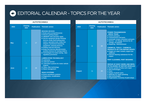# **EDITORIAL CALENDAR - TOPICS FOR THE YEAR**

|             |                                                                                                                                | <b>AUTOTECHNIKA</b> |                                                                                                                                                                                                                                                                                                                                                                                                                                                                                                       |  |                                              |                        | <b>AUTOTECHNIKA</b> |                                                                                                                                                                                                                                                                                                                                                                                                                                         |
|-------------|--------------------------------------------------------------------------------------------------------------------------------|---------------------|-------------------------------------------------------------------------------------------------------------------------------------------------------------------------------------------------------------------------------------------------------------------------------------------------------------------------------------------------------------------------------------------------------------------------------------------------------------------------------------------------------|--|----------------------------------------------|------------------------|---------------------|-----------------------------------------------------------------------------------------------------------------------------------------------------------------------------------------------------------------------------------------------------------------------------------------------------------------------------------------------------------------------------------------------------------------------------------------|
| 2022        | <b>Closing</b><br>date                                                                                                         | <b>Publication</b>  | <b>Thematic annex</b>                                                                                                                                                                                                                                                                                                                                                                                                                                                                                 |  | 2022                                         | <b>Closing</b><br>date |                     | <b>Publication</b> Thematic annex                                                                                                                                                                                                                                                                                                                                                                                                       |
| <b>May</b>  | 11                                                                                                                             | 27                  | <b>BRAKING DEVICES</b><br><b>Brake parts (comprehensive)</b><br><b>Electric parking brakes</b><br>ABS/ESP units and their repair<br>Service equipment (brake flushing<br>devices, brake fluid boiling point<br>meters, specialist tools, brake line<br>shapers, mechanical measuring<br>equipment, cleaning devices)<br>Rolling road test benches<br>Brake test devices (decelerometer,<br>auxiliary devices for testing trailers)<br>■ Technologies for brake testing - New<br>regulatory provisions |  | <b>July</b>                                  | 11                     | 28                  | <b>POWER TRANSMISSION</b><br>- DRIVE TRAIN<br>$\blacksquare$ Clutch and parts<br>Transmissions and parts<br>Automatic torque converters and parts<br>Service - oil change, devices for oil<br>change, oil analysis<br>Repairing - Refurbishment<br><b>CHEMICAL TOOLS - CHEMICAL</b><br><b>PRODUCTS OF CAR REPAIR SHOPS</b><br><b>Engine oil, water coolant, engine fuel</b><br><b>additives</b><br>Internal cleaning substances for the |
|             | <b>LUBRICATION TECHNOLOGY</b><br><b>Lubricants</b><br><b>Lubricant service</b><br><b>Lubrication systems for motor vehicle</b> |                     |                                                                                                                                                                                                                                                                                                                                                                                                                                                                                                       |  | engine<br><b>PART CLEANING, PART WASHING</b> |                        |                     |                                                                                                                                                                                                                                                                                                                                                                                                                                         |
| <b>June</b> | 10                                                                                                                             | 28                  | engines<br>Filters, filter technology<br>■ Waste management<br><b>ADAS SYSTEMS</b><br>Driver assistance systems<br>Diagnostics, recalibration<br><b>Parts</b>                                                                                                                                                                                                                                                                                                                                         |  | <b>August</b>                                | 11                     | 29                  | <b>REPAIR OF BODY WORK AND REPA-</b><br><b>IR POLISHING OF MOTOR VEHICLES</b><br>Device system of body work repair<br>New technologies<br>Parts<br>Repair of plastic parts<br>■ Materials for repair polishing<br>New technologies<br>Organisation, economy of paint shops                                                                                                                                                              |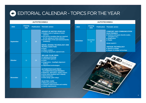# EDITORIAL CALENDAR - TOPICS FOR THE YEAR

### **AUTOTECHNIKA**

| 2022             | <b>Closing</b><br>date | <b>Publication</b> | <b>Thematic annex</b>                                                                                                                                                                                                                                                                                                                                                        |
|------------------|------------------------|--------------------|------------------------------------------------------------------------------------------------------------------------------------------------------------------------------------------------------------------------------------------------------------------------------------------------------------------------------------------------------------------------------|
| <b>September</b> | 9                      | 28                 | <b>UPKEEP OF MOTOR VEHICLES</b><br>Modern tools of upkeep of motor<br>vehicles:<br>All service novelties that are required<br>for the upkeep of motor vehicles<br>■ (In the wake of IAA and Automechanika<br>exhibition)<br><b>DIESEL DOSING TECHNOLOGY AND</b><br><b>PETROL INJECTION</b><br>$\blacksquare$ Parts<br>Filters, coolers<br>■ Testing equipment, special tools |
| <b>Oktober</b>   | 11                     | 28                 | <b>SEE AND TO BE SEEN</b><br>Lighting technology<br>Automotive glasses<br><b>Parts</b><br>Diagnostics - headlight alignment<br>devices<br>Adjustment technologies                                                                                                                                                                                                            |
| <b>November</b>  | 11                     | 25                 | <b>AUTOMOTIVE ELECTRICS</b><br>- AUTOMOTIVE ELECTRONICS<br>Batteries, alternators, starter motors<br>Drive belts (toothed and V-ribbed)<br><b>Belt tensioners</b><br>Glow plugs, glow relays<br><b>ELECTRIC CARS</b><br>■ Metering instruments<br>■ Chargers (wall-mounted and mobile)<br>■ Safety requirements                                                              |

| 2022            | <b>Closing</b><br>date |    | <b>Publication</b> Thematic annex                                                                                                                                                                                                                                |
|-----------------|------------------------|----|------------------------------------------------------------------------------------------------------------------------------------------------------------------------------------------------------------------------------------------------------------------|
| <b>December</b> | <b>November</b><br>25  | 13 | <b>COMFORT AND COMMUNICATION</b><br><b>ELECTRONICS</b><br>Systems and parts therefor (radio,<br>navigation etc.)<br><b>Diagnostics</b><br><b>Repair</b><br><b>ROAD SAFETY</b><br><b>VINTAGE TECHNOLOGY</b><br>■ World of vintage<br>Repair of vintage technology |

**AUTOTECHNIKA**

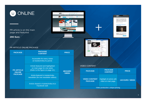

PR article is on the main page and featured

**290 Euro**

### PR ARTICLE ONLINE PACKAGE

| <b>PACKAGE</b>                                       | <b>PACKAGE</b><br><b>CONTENT</b>                                                                    | <b>PRICE</b>    |
|------------------------------------------------------|-----------------------------------------------------------------------------------------------------|-----------------|
| <b>PR ARTICLE</b><br><b>ONLINE</b><br><b>PACKAGE</b> | Accessible for every visitor<br>at Autotechnika.hu portal.                                          |                 |
|                                                      | Article featured and highlighted<br>on main page for one week.<br>(Refer to the figure on page 10.) | <b>485 EURO</b> |
|                                                      | Article featured in Autotechnika<br>newsletter (for one newsletter edition).                        | / WEEK          |
|                                                      | Article shared in Autotechnika.hu's<br>Facebook wall.                                               |                 |





### VIDEO CONTENT

| <b>PACKAGE</b>                         | <b>PACKAGE</b><br><b>CONTENT</b>                 | <b>PRICE</b>           |  |  |  |
|----------------------------------------|--------------------------------------------------|------------------------|--|--|--|
| <b>VIDEO CONTENT</b><br><b>PACKAGE</b> | Highlight of article with<br>video on main page. | <b>140 EURO / WEEK</b> |  |  |  |
| Video production: unique pricing.      |                                                  |                        |  |  |  |

auto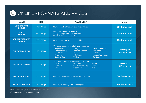# ONLINE - FORMATS AND PRICES

| <b>NAME</b>                             | <b>SIZE</b>  | <b>PLACEMENT</b>                                                                                                                                                                                                                                                                                                            | price                         |
|-----------------------------------------|--------------|-----------------------------------------------------------------------------------------------------------------------------------------------------------------------------------------------------------------------------------------------------------------------------------------------------------------------------|-------------------------------|
| <b>LEADERBOARD</b><br><b>BANNER</b>     | 728 x 90 px  | Main page, after the news block with images.                                                                                                                                                                                                                                                                                | 250 Euro / week               |
| <b>FULL</b><br><b>BANNER</b>            | 640 x 360 px | Main page: above the columns.<br>Category page: above the first article.<br>Article page: after the article lead.                                                                                                                                                                                                           | 425 Euro / week               |
| <b>WIDE SKYSCRAPER</b><br><b>BANNER</b> | 160 x 600 px | In every page, on the right-hand side.                                                                                                                                                                                                                                                                                      | 250 Euro / week               |
| <b>PARTNERBANNER I.</b>                 | 160 x 160 px | You can choose from the following categories:<br>• Diagnostics<br>• Body<br>• Brake Technology<br>• Air-conditioning<br>• Practical steps for<br>• Lubricationing<br>• Engine and<br>Technology<br><b>Services</b><br>• Lighting Technology<br>Powertrain<br>• Filtrationing<br>• Running Gear<br>• Old-timer<br>Technology | by category<br>43 Euro /month |
| <b>PARTNERBANNER II.</b>                | 160 x 160 px | You can choose from the following categories:<br>• MOT test<br>• Actual<br>$\cdot$ Event<br>• Exclusive<br>• Vocational training<br>• This+That<br>• Fresh news<br>• Laws<br>$\cdot$ Etc.                                                                                                                                   | by category<br>28 Euro /month |
| <b>PARTNERCSOMAG I.</b>                 | 160 x 160 px | On the article pages of the following categories:                                                                                                                                                                                                                                                                           | 340 Euro /month               |
| <b>PARTNERCSOMAG II.</b>                | 160 x 160 px | On every article pages within categories                                                                                                                                                                                                                                                                                    | 530 Euro /month               |

\*\* Prices are net prices, do not include Value Added Tax (VAT). We reserve the right to change prices!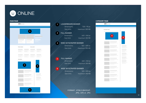# **ONLINE**



### **MAIN PAGE CATEGORY PAGE** LEADERBOARD BANNER · Dimensions: 728 × 90 px · Size limit: maximum 300 KB FULL BANNER Dimensions: 640 × 360 px · Size limit: maximum 300 KB **1 2**

WIDE SKYSCRAPER BANNER

**3**

**4**

**5**

· Dimensions: 160 × 600 px · Size limit: maximum 300 KB

### FULL BANNER

 $Dimensions:$  640 × 360 px · Size limit: maximum 300 KB

### WIDE SKYSCRAPER BANNER

· Dimensions: 160 × 600 px · Size limit: maximum 300 KB

> FORMAT: HTML5 (BACKUP: .JPG, .GIF) or .JPG

| <b>auto TECHNKA</b> |                                        |                                                                        |
|---------------------|----------------------------------------|------------------------------------------------------------------------|
|                     |                                        |                                                                        |
|                     |                                        |                                                                        |
| CATEGORY PAGE       |                                        |                                                                        |
|                     | $\boldsymbol{4}$                       | $\overline{5}$                                                         |
|                     | the control of the control of          |                                                                        |
|                     | the control of the control of the      | <b>Contract Contract</b><br>$\sim 10^{-1}$                             |
|                     | <b>Contract Contract Contract</b>      | <b>Contract Contract</b><br>$\sim 10^{-1}$<br><b>Contract Contract</b> |
|                     | the control of the control of          | and the control of the<br>$\sim$ 10 $\mu$<br><b>Contract Contract</b>  |
|                     | the control of the control of the con- | and the<br><b>Contract Contract</b>                                    |
|                     | the control of the control of          | $\sim$                                                                 |
|                     | the control of the control of          |                                                                        |
|                     | the control of the control of the      |                                                                        |
|                     | the control of the control of          |                                                                        |
|                     | the control of the control of the      |                                                                        |
|                     |                                        |                                                                        |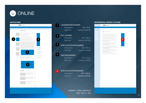# **ONLINE**

| <b>auto</b> TECHNKA |                                             |                    |  |
|---------------------|---------------------------------------------|--------------------|--|
|                     |                                             |                    |  |
| ARTICLE PAGE        |                                             |                    |  |
|                     |                                             |                    |  |
|                     |                                             |                    |  |
| $\overline{4}$      |                                             | $\mathbf{3}$       |  |
|                     |                                             |                    |  |
|                     |                                             |                    |  |
|                     |                                             | and the control of |  |
|                     |                                             |                    |  |
|                     | $\mathbf{1}$                                |                    |  |
|                     |                                             |                    |  |
|                     |                                             |                    |  |
|                     |                                             |                    |  |
|                     | $\overline{\mathbf{c}}$                     |                    |  |
|                     |                                             |                    |  |
|                     |                                             |                    |  |
| <b>HEADINGS</b>     |                                             |                    |  |
|                     | <b>Contract Contract</b><br>π               |                    |  |
|                     | ÷<br>the control of the control of the<br>٠ |                    |  |
|                     |                                             |                    |  |
|                     | and the control of the control of           |                    |  |
|                     |                                             |                    |  |
|                     |                                             |                    |  |

### LEADERBOARD BANNER

· Dimensions: 728 × 90 px

· Size limit: maximum 300 KB

FULL BANNER

**2**

**1**

**3**

**4**

**5**

 $\cdot$  Dimensions: 640 × 360 px · Size limit: maximum 300 KB

### WIDE SKYSCRAPER BANNER

· Dimensions: 160 × 600 px · Size limit: maximum 300 KB

### PARTNER BANNER

 $Dimensions: 160 \times 160 \text{ px}$ 

· Size limit: maximum 300 KB

### WIDE SKYSCRAPER BANNER

· Dimensions: 160 × 600 px · Size limit: maximum 100 KB

### **ARTICLE PAGE PROFESSIONAL SEARCH / HIT PAGE**

# **auto TECHNKA 5**

FORMAT: HTML5 (BACKUP: .JPG, .GIF) or .JPG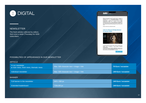

### **NEWSLETTER**

The fresh articles collected by editors. Sent once a week (Thursday) for 4200 subscribers

### $auto$

Emp alide regner empired for anomics regulates logarithm in<br>property and advertised property between the property between the<br>condition of the symptom of the symptom of the symptom of the symptom<br>of  $\mu$  and  $\mu$  and the **Table** 

Kelema zinaidat kiulit az Aztötechnika negatat

### Látni és látszani Ördög Nórával és Nánási Pállal



A megruphin consex wist as OPPX, COFIAM, Tungerert, Sales Google, MCI, Nogotian, ACE 44 Automobiute a 1600m patrimone Chemistras 



### POSSIBILITIES OF APPEARANCE IN OUR NEWSLETTER

### ARTICLE

| In our newsletter<br>main news, fresh news, thematic news | Max. 500 character text $+$ image $+$ link | <b>70 Euro / occasion</b> |
|-----------------------------------------------------------|--------------------------------------------|---------------------------|
| Individual newsletter                                     | Max. 500 character text $+$ image $+$ link | 140 Euro / occasion       |
|                                                           |                                            |                           |
| <b>BANNER</b>                                             |                                            |                           |
| Full banner in the newsletter                             | 640 x 360 px                               | 140 Euro / occasion       |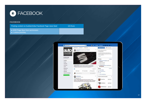

### **FACEBOOK**

Posting content on Autótechnika Facebook Page news feed 115 Euro

- 4200 Page likes from technicians
- **■** 1 article post/day